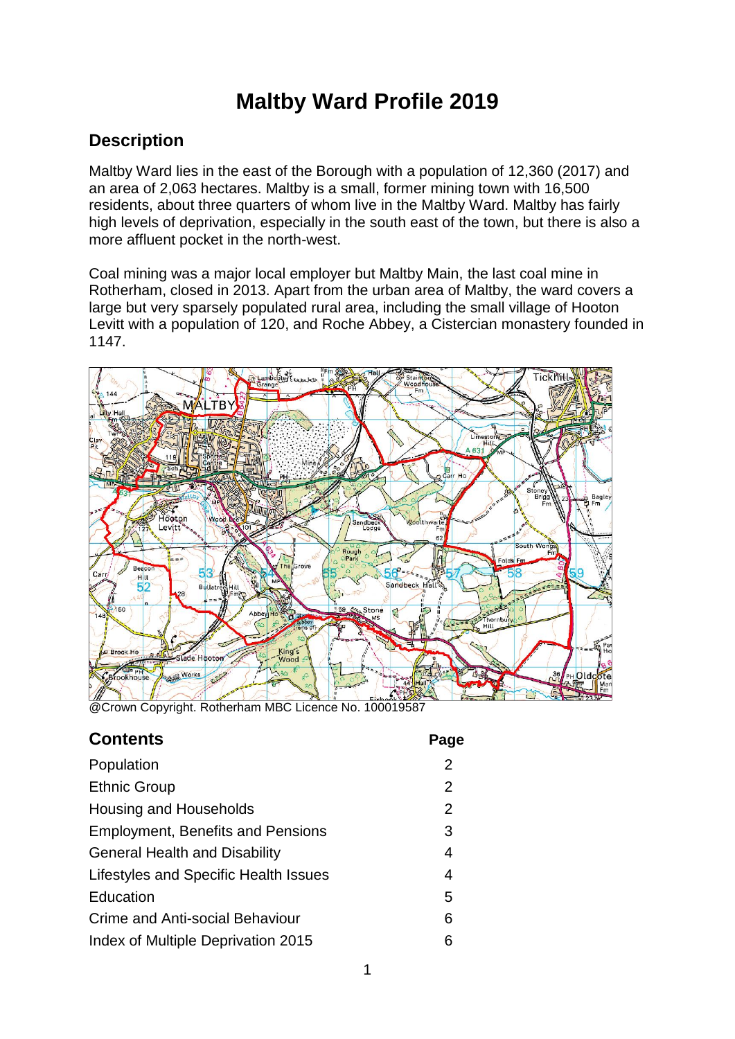# **Maltby Ward Profile 2019**

### **Description**

Maltby Ward lies in the east of the Borough with a population of 12,360 (2017) and an area of 2,063 hectares. Maltby is a small, former mining town with 16,500 residents, about three quarters of whom live in the Maltby Ward. Maltby has fairly high levels of deprivation, especially in the south east of the town, but there is also a more affluent pocket in the north-west.

Coal mining was a major local employer but Maltby Main, the last coal mine in Rotherham, closed in 2013. Apart from the urban area of Maltby, the ward covers a large but very sparsely populated rural area, including the small village of Hooton Levitt with a population of 120, and Roche Abbey, a Cistercian monastery founded in 1147.



@Crown Copyright. Rotherham MBC Licence No. 100019587

| <b>Contents</b>                          | Page           |
|------------------------------------------|----------------|
| Population                               | $\overline{2}$ |
| <b>Ethnic Group</b>                      | 2              |
| Housing and Households                   | 2              |
| <b>Employment, Benefits and Pensions</b> | 3              |
| <b>General Health and Disability</b>     | 4              |
| Lifestyles and Specific Health Issues    | 4              |
| Education                                | 5              |
| Crime and Anti-social Behaviour          | 6              |
| Index of Multiple Deprivation 2015       | 6              |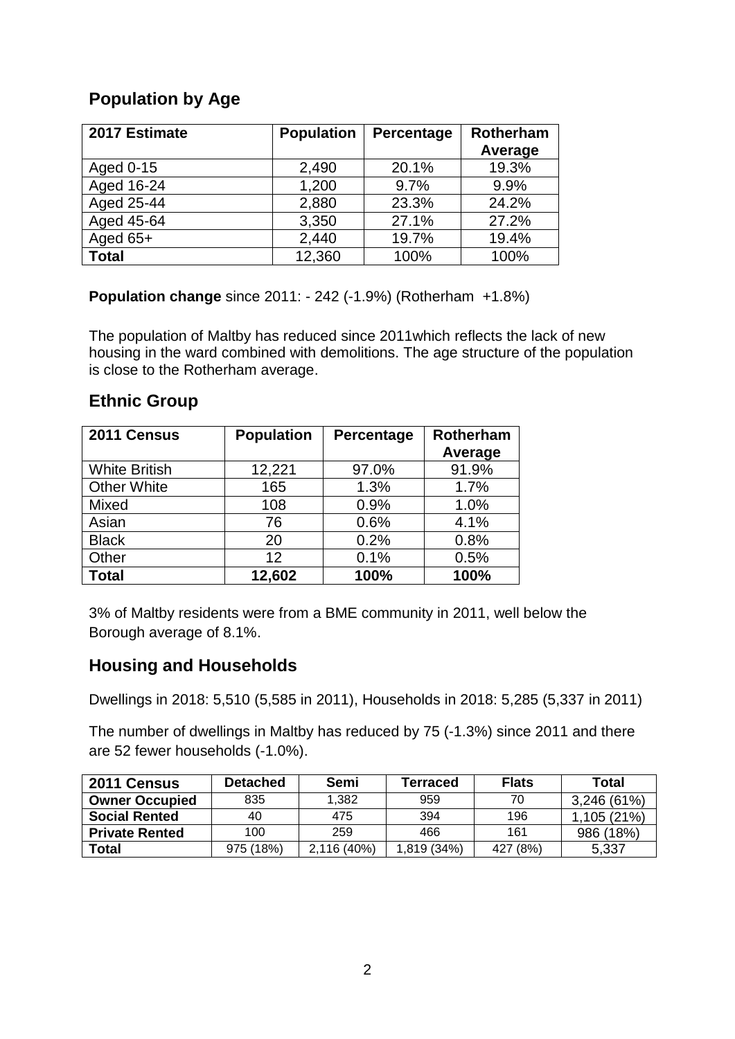# **Population by Age**

| 2017 Estimate | <b>Population</b> | Percentage | Rotherham |
|---------------|-------------------|------------|-----------|
|               |                   |            | Average   |
| Aged 0-15     | 2,490             | 20.1%      | 19.3%     |
| Aged 16-24    | 1,200             | 9.7%       | 9.9%      |
| Aged 25-44    | 2,880             | 23.3%      | 24.2%     |
| Aged 45-64    | 3,350             | 27.1%      | 27.2%     |
| Aged $65+$    | 2,440             | 19.7%      | 19.4%     |
| <b>Total</b>  | 12,360            | 100%       | 100%      |

**Population change** since 2011: - 242 (-1.9%) (Rotherham +1.8%)

The population of Maltby has reduced since 2011which reflects the lack of new housing in the ward combined with demolitions. The age structure of the population is close to the Rotherham average.

### **Ethnic Group**

| 2011 Census          | <b>Population</b> | Percentage | <b>Rotherham</b><br>Average |
|----------------------|-------------------|------------|-----------------------------|
| <b>White British</b> | 12,221            | 97.0%      | 91.9%                       |
| <b>Other White</b>   | 165               | 1.3%       | 1.7%                        |
| Mixed                | 108               | 0.9%       | 1.0%                        |
| Asian                | 76                | 0.6%       | 4.1%                        |
| <b>Black</b>         | 20                | 0.2%       | 0.8%                        |
| Other                | 12                | 0.1%       | 0.5%                        |
| <b>Total</b>         | 12,602            | 100%       | 100%                        |

3% of Maltby residents were from a BME community in 2011, well below the Borough average of 8.1%.

# **Housing and Households**

Dwellings in 2018: 5,510 (5,585 in 2011), Households in 2018: 5,285 (5,337 in 2011)

The number of dwellings in Maltby has reduced by 75 (-1.3%) since 2011 and there are 52 fewer households (-1.0%).

| 2011 Census           | <b>Detached</b> | Semi       | <b>Ferraced</b> | <b>Flats</b> | Total       |
|-----------------------|-----------------|------------|-----------------|--------------|-------------|
| <b>Owner Occupied</b> | 835             | 1.382      | 959             | 70           | 3,246(61%)  |
| <b>Social Rented</b>  | 40              | 475        | 394             | 196          | 1,105 (21%) |
| <b>Private Rented</b> | 100             | 259        | 466             | 161          | 986 (18%)   |
| Total                 | 975 (18%)       | 2.116(40%) | 1,819 (34%)     | 427 (8%)     | 5,337       |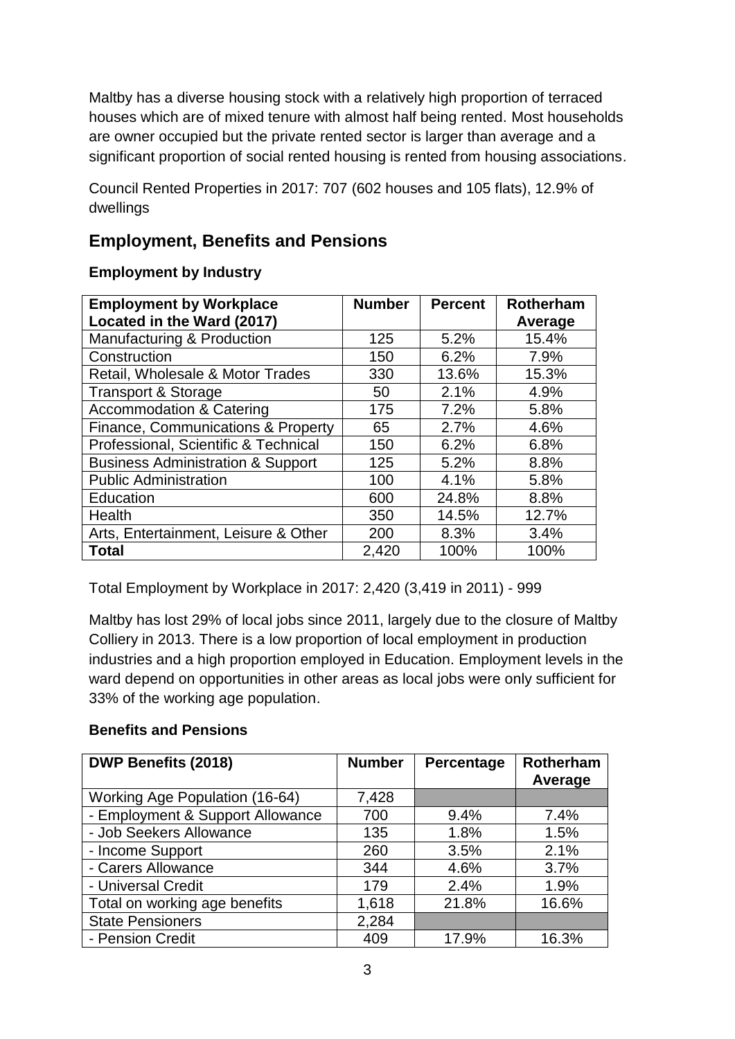Maltby has a diverse housing stock with a relatively high proportion of terraced houses which are of mixed tenure with almost half being rented. Most households are owner occupied but the private rented sector is larger than average and a significant proportion of social rented housing is rented from housing associations.

Council Rented Properties in 2017: 707 (602 houses and 105 flats), 12.9% of dwellings

# **Employment, Benefits and Pensions**

### **Employment by Industry**

| <b>Employment by Workplace</b>               | <b>Number</b> | <b>Percent</b> | <b>Rotherham</b> |
|----------------------------------------------|---------------|----------------|------------------|
| Located in the Ward (2017)                   |               |                | Average          |
| Manufacturing & Production                   | 125           | 5.2%           | 15.4%            |
| Construction                                 | 150           | 6.2%           | 7.9%             |
| Retail, Wholesale & Motor Trades             | 330           | 13.6%          | 15.3%            |
| <b>Transport &amp; Storage</b>               | 50            | 2.1%           | 4.9%             |
| <b>Accommodation &amp; Catering</b>          | 175           | 7.2%           | 5.8%             |
| Finance, Communications & Property           | 65            | 2.7%           | 4.6%             |
| Professional, Scientific & Technical         | 150           | 6.2%           | 6.8%             |
| <b>Business Administration &amp; Support</b> | 125           | 5.2%           | 8.8%             |
| <b>Public Administration</b>                 | 100           | 4.1%           | 5.8%             |
| Education                                    | 600           | 24.8%          | 8.8%             |
| Health                                       | 350           | 14.5%          | 12.7%            |
| Arts, Entertainment, Leisure & Other         | 200           | 8.3%           | 3.4%             |
| Total                                        | 2,420         | 100%           | 100%             |

Total Employment by Workplace in 2017: 2,420 (3,419 in 2011) - 999

Maltby has lost 29% of local jobs since 2011, largely due to the closure of Maltby Colliery in 2013. There is a low proportion of local employment in production industries and a high proportion employed in Education. Employment levels in the ward depend on opportunities in other areas as local jobs were only sufficient for 33% of the working age population.

### **Benefits and Pensions**

| <b>DWP Benefits (2018)</b>            | <b>Number</b> | Percentage | <b>Rotherham</b> |
|---------------------------------------|---------------|------------|------------------|
|                                       |               |            | Average          |
| <b>Working Age Population (16-64)</b> | 7,428         |            |                  |
| - Employment & Support Allowance      | 700           | 9.4%       | 7.4%             |
| - Job Seekers Allowance               | 135           | 1.8%       | 1.5%             |
| - Income Support                      | 260           | 3.5%       | 2.1%             |
| - Carers Allowance                    | 344           | 4.6%       | 3.7%             |
| - Universal Credit                    | 179           | 2.4%       | 1.9%             |
| Total on working age benefits         | 1,618         | 21.8%      | 16.6%            |
| <b>State Pensioners</b>               | 2,284         |            |                  |
| - Pension Credit                      | 409           | 17.9%      | 16.3%            |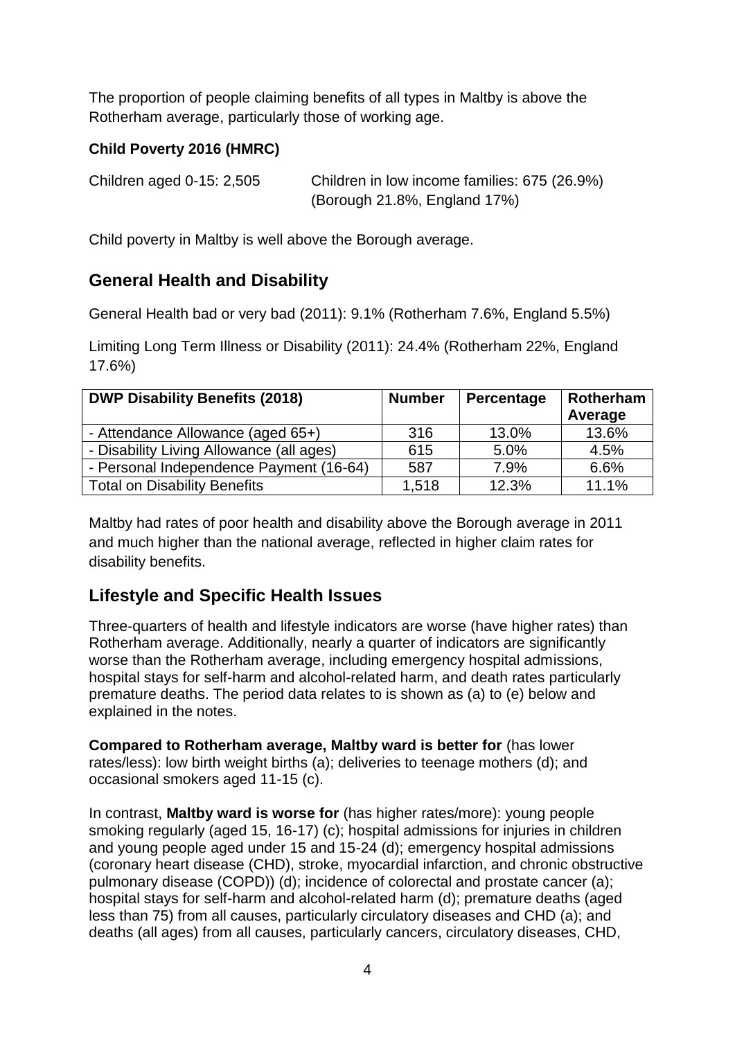The proportion of people claiming benefits of all types in Maltby is above the Rotherham average, particularly those of working age.

### **Child Poverty 2016 (HMRC)**

| Children aged 0-15: 2,505 | Children in low income families: 675 (26.9%) |
|---------------------------|----------------------------------------------|
|                           | (Borough 21.8%, England 17%)                 |

Child poverty in Maltby is well above the Borough average.

### **General Health and Disability**

General Health bad or very bad (2011): 9.1% (Rotherham 7.6%, England 5.5%)

Limiting Long Term Illness or Disability (2011): 24.4% (Rotherham 22%, England 17.6%)

| <b>DWP Disability Benefits (2018)</b>    | <b>Number</b> | Percentage | Rotherham<br>Average |
|------------------------------------------|---------------|------------|----------------------|
| - Attendance Allowance (aged 65+)        | 316           | 13.0%      | 13.6%                |
| - Disability Living Allowance (all ages) | 615           | 5.0%       | 4.5%                 |
| - Personal Independence Payment (16-64)  | 587           | 7.9%       | 6.6%                 |
| <b>Total on Disability Benefits</b>      | 1,518         | 12.3%      | 11.1%                |

Maltby had rates of poor health and disability above the Borough average in 2011 and much higher than the national average, reflected in higher claim rates for disability benefits.

# **Lifestyle and Specific Health Issues**

Three-quarters of health and lifestyle indicators are worse (have higher rates) than Rotherham average. Additionally, nearly a quarter of indicators are significantly worse than the Rotherham average, including emergency hospital admissions, hospital stays for self-harm and alcohol-related harm, and death rates particularly premature deaths. The period data relates to is shown as (a) to (e) below and explained in the notes.

**Compared to Rotherham average, Maltby ward is better for** (has lower rates/less): low birth weight births (a); deliveries to teenage mothers (d); and occasional smokers aged 11-15 (c).

In contrast, **Maltby ward is worse for** (has higher rates/more): young people smoking regularly (aged 15, 16-17) (c); hospital admissions for injuries in children and young people aged under 15 and 15-24 (d); emergency hospital admissions (coronary heart disease (CHD), stroke, myocardial infarction, and chronic obstructive pulmonary disease (COPD)) (d); incidence of colorectal and prostate cancer (a); hospital stays for self-harm and alcohol-related harm (d); premature deaths (aged less than 75) from all causes, particularly circulatory diseases and CHD (a); and deaths (all ages) from all causes, particularly cancers, circulatory diseases, CHD,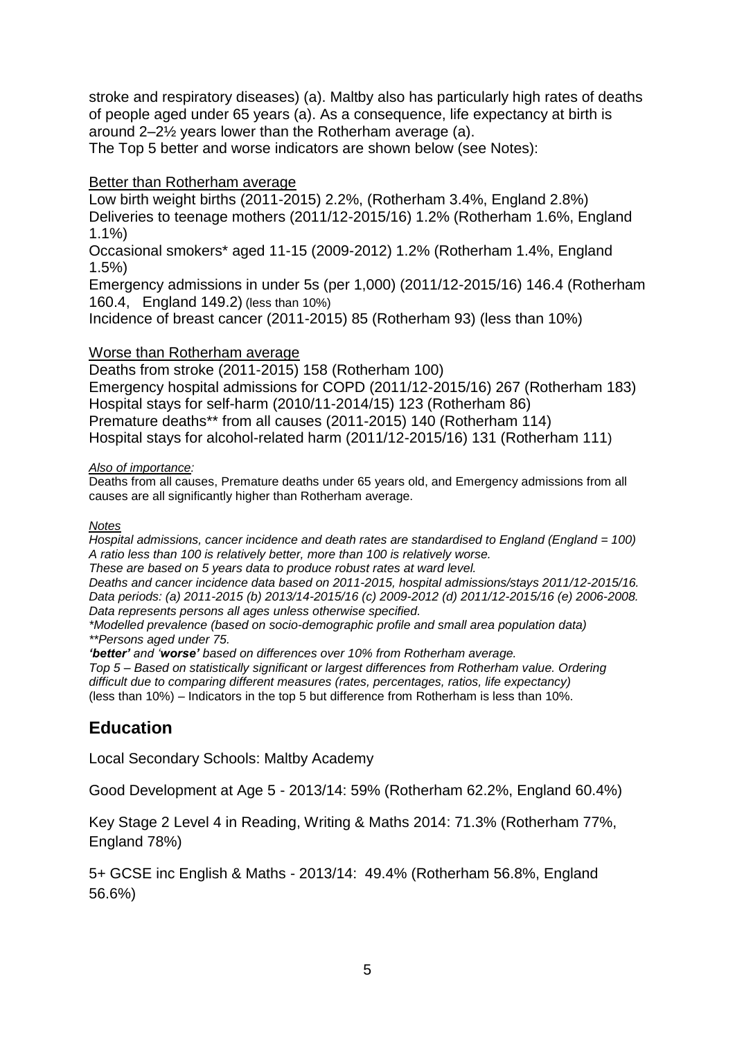stroke and respiratory diseases) (a). Maltby also has particularly high rates of deaths of people aged under 65 years (a). As a consequence, life expectancy at birth is around 2–2½ years lower than the Rotherham average (a).

The Top 5 better and worse indicators are shown below (see Notes):

### Better than Rotherham average

Low birth weight births (2011-2015) 2.2%, (Rotherham 3.4%, England 2.8%) Deliveries to teenage mothers (2011/12-2015/16) 1.2% (Rotherham 1.6%, England 1.1%)

Occasional smokers\* aged 11-15 (2009-2012) 1.2% (Rotherham 1.4%, England 1.5%)

Emergency admissions in under 5s (per 1,000) (2011/12-2015/16) 146.4 (Rotherham 160.4, England 149.2) (less than 10%)

Incidence of breast cancer (2011-2015) 85 (Rotherham 93) (less than 10%)

### Worse than Rotherham average

Deaths from stroke (2011-2015) 158 (Rotherham 100) Emergency hospital admissions for COPD (2011/12-2015/16) 267 (Rotherham 183) Hospital stays for self-harm (2010/11-2014/15) 123 (Rotherham 86) Premature deaths\*\* from all causes (2011-2015) 140 (Rotherham 114) Hospital stays for alcohol-related harm (2011/12-2015/16) 131 (Rotherham 111)

#### *Also of importance:*

Deaths from all causes, Premature deaths under 65 years old, and Emergency admissions from all causes are all significantly higher than Rotherham average.

#### *Notes*

*Hospital admissions, cancer incidence and death rates are standardised to England (England = 100) A ratio less than 100 is relatively better, more than 100 is relatively worse.*

*These are based on 5 years data to produce robust rates at ward level.*

*Deaths and cancer incidence data based on 2011-2015, hospital admissions/stays 2011/12-2015/16. Data periods: (a) 2011-2015 (b) 2013/14-2015/16 (c) 2009-2012 (d) 2011/12-2015/16 (e) 2006-2008. Data represents persons all ages unless otherwise specified.*

#### *\*Modelled prevalence (based on socio-demographic profile and small area population data) \*\*Persons aged under 75.*

*'better' and 'worse' based on differences over 10% from Rotherham average. Top 5 – Based on statistically significant or largest differences from Rotherham value. Ordering difficult due to comparing different measures (rates, percentages, ratios, life expectancy)* (less than 10%) – Indicators in the top 5 but difference from Rotherham is less than 10%.

### **Education**

Local Secondary Schools: Maltby Academy

Good Development at Age 5 - 2013/14: 59% (Rotherham 62.2%, England 60.4%)

Key Stage 2 Level 4 in Reading, Writing & Maths 2014: 71.3% (Rotherham 77%, England 78%)

5+ GCSE inc English & Maths - 2013/14: 49.4% (Rotherham 56.8%, England 56.6%)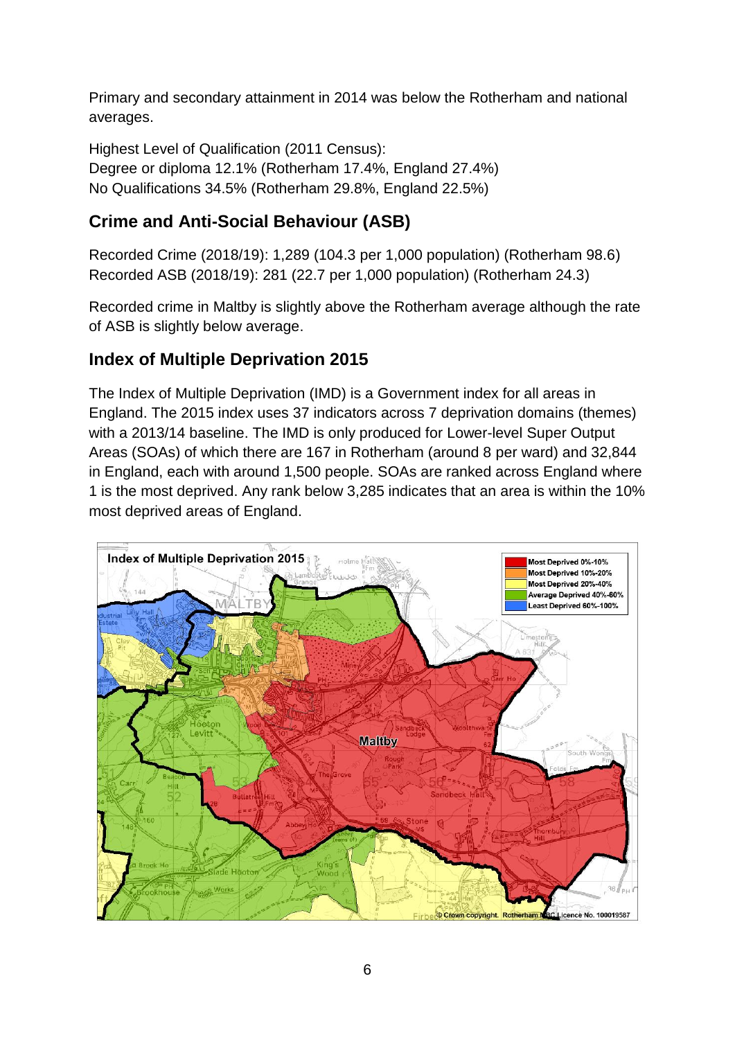Primary and secondary attainment in 2014 was below the Rotherham and national averages.

Highest Level of Qualification (2011 Census): Degree or diploma 12.1% (Rotherham 17.4%, England 27.4%) No Qualifications 34.5% (Rotherham 29.8%, England 22.5%)

# **Crime and Anti-Social Behaviour (ASB)**

Recorded Crime (2018/19): 1,289 (104.3 per 1,000 population) (Rotherham 98.6) Recorded ASB (2018/19): 281 (22.7 per 1,000 population) (Rotherham 24.3)

Recorded crime in Maltby is slightly above the Rotherham average although the rate of ASB is slightly below average.

# **Index of Multiple Deprivation 2015**

The Index of Multiple Deprivation (IMD) is a Government index for all areas in England. The 2015 index uses 37 indicators across 7 deprivation domains (themes) with a 2013/14 baseline. The IMD is only produced for Lower-level Super Output Areas (SOAs) of which there are 167 in Rotherham (around 8 per ward) and 32,844 in England, each with around 1,500 people. SOAs are ranked across England where 1 is the most deprived. Any rank below 3,285 indicates that an area is within the 10% most deprived areas of England.

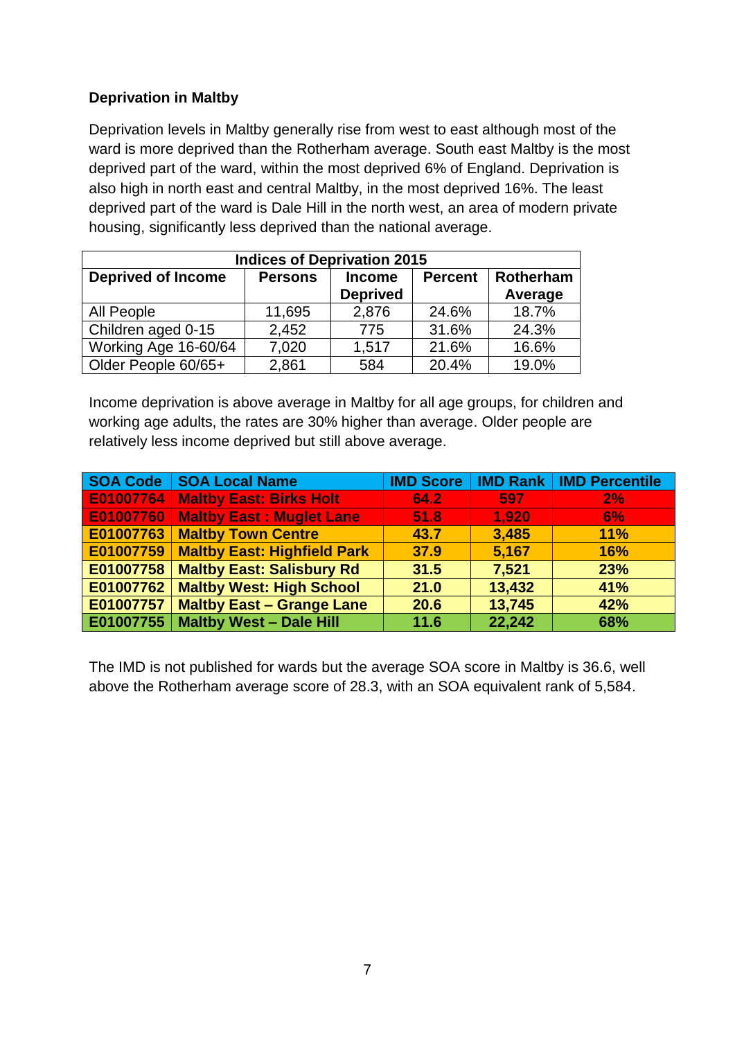### **Deprivation in Maltby**

Deprivation levels in Maltby generally rise from west to east although most of the ward is more deprived than the Rotherham average. South east Maltby is the most deprived part of the ward, within the most deprived 6% of England. Deprivation is also high in north east and central Maltby, in the most deprived 16%. The least deprived part of the ward is Dale Hill in the north west, an area of modern private housing, significantly less deprived than the national average.

| <b>Indices of Deprivation 2015</b> |                |                                  |                |                      |
|------------------------------------|----------------|----------------------------------|----------------|----------------------|
| <b>Deprived of Income</b>          | <b>Persons</b> | <b>Income</b><br><b>Deprived</b> | <b>Percent</b> | Rotherham<br>Average |
| All People                         | 11,695         | 2,876                            | 24.6%          | 18.7%                |
| Children aged 0-15                 | 2,452          | 775                              | 31.6%          | 24.3%                |
| Working Age 16-60/64               | 7,020          | 1,517                            | 21.6%          | 16.6%                |
| Older People 60/65+                | 2,861          | 584                              | 20.4%          | 19.0%                |

Income deprivation is above average in Maltby for all age groups, for children and working age adults, the rates are 30% higher than average. Older people are relatively less income deprived but still above average.

|           | <b>SOA Code   SOA Local Name</b>   | <b>IMD Score</b> |        | <b>IMD Rank   IMD Percentile</b> |
|-----------|------------------------------------|------------------|--------|----------------------------------|
| E01007764 | <b>Maltby East: Birks Holt</b>     | 64.2             | 597    | 2%                               |
| E01007760 | <b>Maltby East: Muglet Lane</b>    | 51.8             | 1.920  | <b>6%</b>                        |
| E01007763 | <b>Maltby Town Centre</b>          | 43.7             | 3.485  | 11%                              |
| E01007759 | <b>Maltby East: Highfield Park</b> | 37.9             | 5,167  | <b>16%</b>                       |
| E01007758 | <b>Maltby East: Salisbury Rd</b>   | 31.5             | 7,521  | 23%                              |
| E01007762 | <b>Maltby West: High School</b>    | 21.0             | 13,432 | 41%                              |
| E01007757 | <b>Maltby East - Grange Lane</b>   | 20.6             | 13,745 | 42%                              |
| E01007755 | <b>Maltby West - Dale Hill</b>     | 11.6             | 22,242 | 68%                              |

The IMD is not published for wards but the average SOA score in Maltby is 36.6, well above the Rotherham average score of 28.3, with an SOA equivalent rank of 5,584.